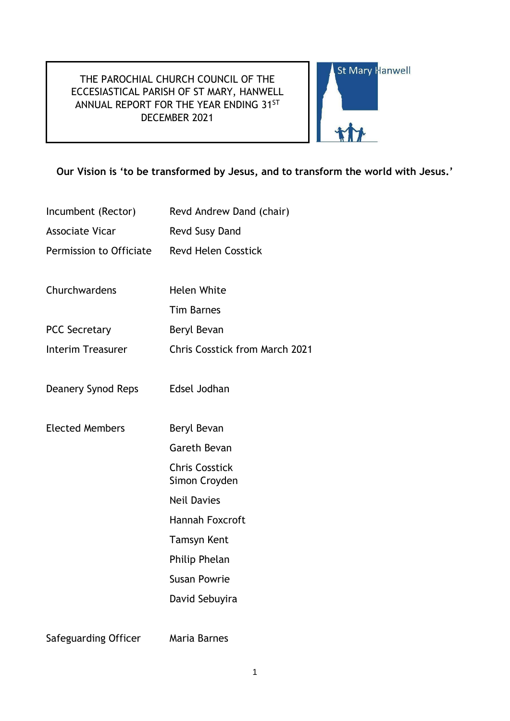# THE PAROCHIAL CHURCH COUNCIL OF THE ECCESIASTICAL PARISH OF ST MARY, HANWELL ANNUAL REPORT FOR THE YEAR ENDING 31ST DECEMBER 2021



# **Our Vision is 'to be transformed by Jesus, and to transform the world with Jesus.'**

- Incumbent (Rector) Revd Andrew Dand (chair)
- Associate Vicar Revd Susy Dand
- Permission to Officiate Revd Helen Cosstick
- Churchwardens Helen White
- Tim Barnes
- PCC Secretary Beryl Bevan
- Interim Treasurer Chris Cosstick from March 2021
- Deanery Synod Reps Edsel Jodhan
- Elected Members Beryl Bevan
	- Gareth Bevan
		- Chris Cosstick
		- Simon Croyden
	- Neil Davies
	- Hannah Foxcroft
	- Tamsyn Kent
		- Philip Phelan
	- Susan Powrie
		- David Sebuyira
- Safeguarding Officer Maria Barnes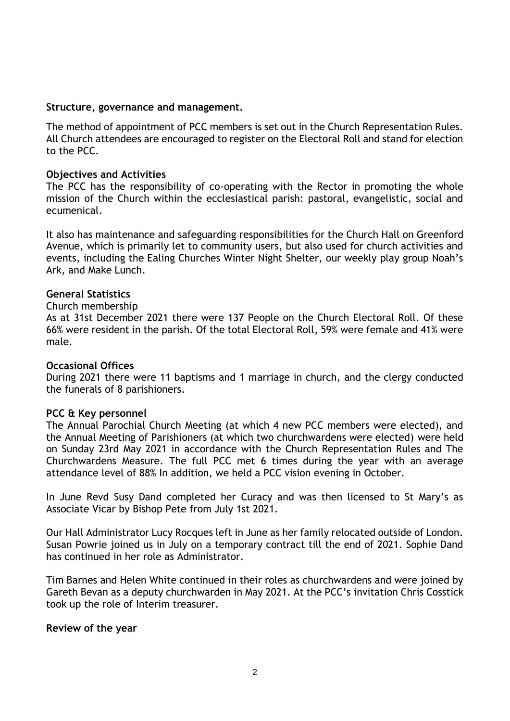# **Structure, governance and management.**

The method of appointment of PCC members is set out in the Church Representation Rules. All Church attendees are encouraged to register on the Electoral Roll and stand for election to the PCC.

# **Objectives and Activities**

The PCC has the responsibility of co-operating with the Rector in promoting the whole mission of the Church within the ecclesiastical parish: pastoral, evangelistic, social and ecumenical.

It also has maintenance and safeguarding responsibilities for the Church Hall on Greenford Avenue, which is primarily let to community users, but also used for church activities and events, including the Ealing Churches Winter Night Shelter, our weekly play group Noah's Ark, and Make Lunch.

# **General Statistics**

### Church membership

As at 31st December 2021 there were 137 People on the Church Electoral Roll. Of these 66% were resident in the parish. Of the total Electoral Roll, 59% were female and 41% were male.

### **Occasional Offices**

During 2021 there were 11 baptisms and 1 marriage in church, and the clergy conducted the funerals of 8 parishioners.

### **PCC & Key personnel**

The Annual Parochial Church Meeting (at which 4 new PCC members were elected), and the Annual Meeting of Parishioners (at which two churchwardens were elected) were held on Sunday 23rd May 2021 in accordance with the Church Representation Rules and The Churchwardens Measure. The full PCC met 6 times during the year with an average attendance level of 88% In addition, we held a PCC vision evening in October.

In June Revd Susy Dand completed her Curacy and was then licensed to St Mary's as Associate Vicar by Bishop Pete from July 1st 2021.

Our Hall Administrator Lucy Rocques left in June as her family relocated outside of London. Susan Powrie joined us in July on a temporary contract till the end of 2021. Sophie Dand has continued in her role as Administrator.

Tim Barnes and Helen White continued in their roles as churchwardens and were joined by Gareth Bevan as a deputy churchwarden in May 2021. At the PCC's invitation Chris Cosstick took up the role of Interim treasurer.

### **Review of the year**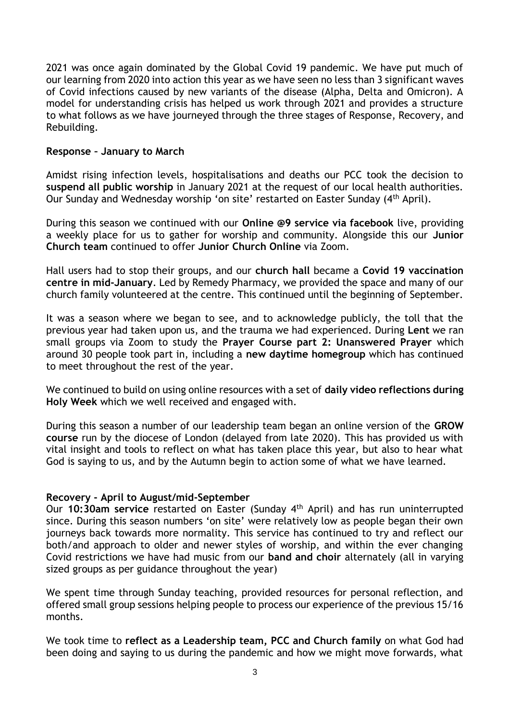2021 was once again dominated by the Global Covid 19 pandemic. We have put much of our learning from 2020 into action this year as we have seen no less than 3 significant waves of Covid infections caused by new variants of the disease (Alpha, Delta and Omicron). A model for understanding crisis has helped us work through 2021 and provides a structure to what follows as we have journeyed through the three stages of Response, Recovery, and Rebuilding.

# **Response – January to March**

Amidst rising infection levels, hospitalisations and deaths our PCC took the decision to **suspend all public worship** in January 2021 at the request of our local health authorities. Our Sunday and Wednesday worship 'on site' restarted on Easter Sunday (4th April).

During this season we continued with our **Online @9 service via facebook** live, providing a weekly place for us to gather for worship and community. Alongside this our **Junior Church team** continued to offer **Junior Church Online** via Zoom.

Hall users had to stop their groups, and our **church hall** became a **Covid 19 vaccination centre in mid-January**. Led by Remedy Pharmacy, we provided the space and many of our church family volunteered at the centre. This continued until the beginning of September.

It was a season where we began to see, and to acknowledge publicly, the toll that the previous year had taken upon us, and the trauma we had experienced. During **Lent** we ran small groups via Zoom to study the **Prayer Course part 2: Unanswered Prayer** which around 30 people took part in, including a **new daytime homegroup** which has continued to meet throughout the rest of the year.

We continued to build on using online resources with a set of **daily video reflections during Holy Week** which we well received and engaged with.

During this season a number of our leadership team began an online version of the **GROW course** run by the diocese of London (delayed from late 2020). This has provided us with vital insight and tools to reflect on what has taken place this year, but also to hear what God is saying to us, and by the Autumn begin to action some of what we have learned.

# **Recovery - April to August/mid-September**

Our 10:30am service restarted on Easter (Sunday 4<sup>th</sup> April) and has run uninterrupted since. During this season numbers 'on site' were relatively low as people began their own journeys back towards more normality. This service has continued to try and reflect our both/and approach to older and newer styles of worship, and within the ever changing Covid restrictions we have had music from our **band and choir** alternately (all in varying sized groups as per guidance throughout the year)

We spent time through Sunday teaching, provided resources for personal reflection, and offered small group sessions helping people to process our experience of the previous 15/16 months.

We took time to **reflect as a Leadership team, PCC and Church family** on what God had been doing and saying to us during the pandemic and how we might move forwards, what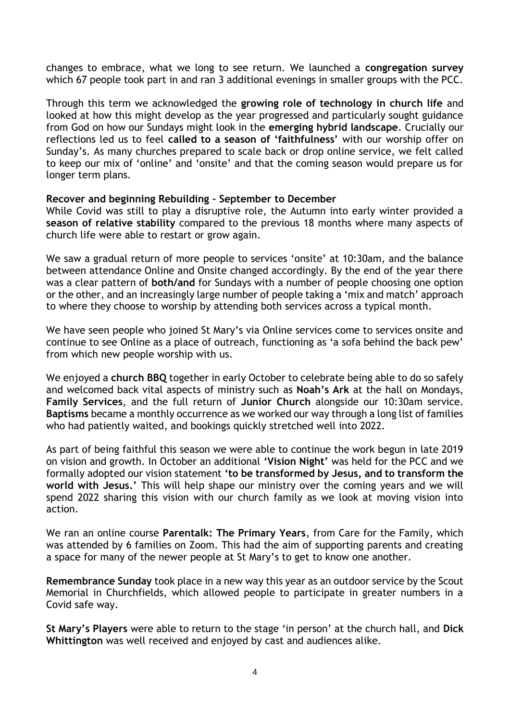changes to embrace, what we long to see return. We launched a **congregation survey**  which 67 people took part in and ran 3 additional evenings in smaller groups with the PCC.

Through this term we acknowledged the **growing role of technology in church life** and looked at how this might develop as the year progressed and particularly sought guidance from God on how our Sundays might look in the **emerging hybrid landscape**. Crucially our reflections led us to feel **called to a season of 'faithfulness'** with our worship offer on Sunday's. As many churches prepared to scale back or drop online service, we felt called to keep our mix of 'online' and 'onsite' and that the coming season would prepare us for longer term plans.

# **Recover and beginning Rebuilding – September to December**

While Covid was still to play a disruptive role, the Autumn into early winter provided a **season of relative stability** compared to the previous 18 months where many aspects of church life were able to restart or grow again.

We saw a gradual return of more people to services 'onsite' at 10:30am, and the balance between attendance Online and Onsite changed accordingly. By the end of the year there was a clear pattern of **both/and** for Sundays with a number of people choosing one option or the other, and an increasingly large number of people taking a 'mix and match' approach to where they choose to worship by attending both services across a typical month.

We have seen people who joined St Mary's via Online services come to services onsite and continue to see Online as a place of outreach, functioning as 'a sofa behind the back pew' from which new people worship with us.

We enjoyed a **church BBQ** together in early October to celebrate being able to do so safely and welcomed back vital aspects of ministry such as **Noah's Ark** at the hall on Mondays, **Family Services**, and the full return of **Junior Church** alongside our 10:30am service. **Baptisms** became a monthly occurrence as we worked our way through a long list of families who had patiently waited, and bookings quickly stretched well into 2022.

As part of being faithful this season we were able to continue the work begun in late 2019 on vision and growth. In October an additional **'Vision Night'** was held for the PCC and we formally adopted our vision statement **'to be transformed by Jesus, and to transform the world with Jesus.'** This will help shape our ministry over the coming years and we will spend 2022 sharing this vision with our church family as we look at moving vision into action.

We ran an online course **Parentalk: The Primary Years**, from Care for the Family, which was attended by 6 families on Zoom. This had the aim of supporting parents and creating a space for many of the newer people at St Mary's to get to know one another.

**Remembrance Sunday** took place in a new way this year as an outdoor service by the Scout Memorial in Churchfields, which allowed people to participate in greater numbers in a Covid safe way.

**St Mary's Players** were able to return to the stage 'in person' at the church hall, and **Dick Whittington** was well received and enjoyed by cast and audiences alike.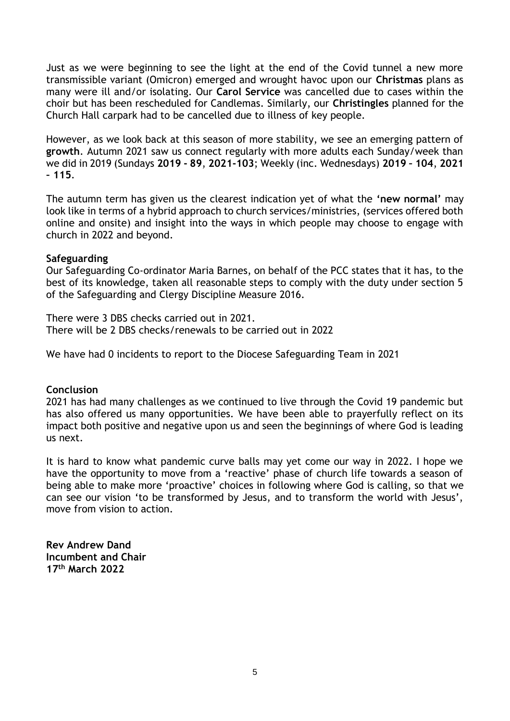Just as we were beginning to see the light at the end of the Covid tunnel a new more transmissible variant (Omicron) emerged and wrought havoc upon our **Christmas** plans as many were ill and/or isolating. Our **Carol Service** was cancelled due to cases within the choir but has been rescheduled for Candlemas. Similarly, our **Christingles** planned for the Church Hall carpark had to be cancelled due to illness of key people.

However, as we look back at this season of more stability, we see an emerging pattern of **growth**. Autumn 2021 saw us connect regularly with more adults each Sunday/week than we did in 2019 (Sundays **2019 - 89**, **2021-103**; Weekly (inc. Wednesdays) **2019 – 104**, **2021 – 115**.

The autumn term has given us the clearest indication yet of what the **'new normal'** may look like in terms of a hybrid approach to church services/ministries, (services offered both online and onsite) and insight into the ways in which people may choose to engage with church in 2022 and beyond.

# **Safeguarding**

Our Safeguarding Co-ordinator Maria Barnes, on behalf of the PCC states that it has, to the best of its knowledge, taken all reasonable steps to comply with the duty under section 5 of the Safeguarding and Clergy Discipline Measure 2016.

There were 3 DBS checks carried out in 2021. There will be 2 DBS checks/renewals to be carried out in 2022

We have had 0 incidents to report to the Diocese Safeguarding Team in 2021

### **Conclusion**

2021 has had many challenges as we continued to live through the Covid 19 pandemic but has also offered us many opportunities. We have been able to prayerfully reflect on its impact both positive and negative upon us and seen the beginnings of where God is leading us next.

It is hard to know what pandemic curve balls may yet come our way in 2022. I hope we have the opportunity to move from a 'reactive' phase of church life towards a season of being able to make more 'proactive' choices in following where God is calling, so that we can see our vision 'to be transformed by Jesus, and to transform the world with Jesus', move from vision to action.

**Rev Andrew Dand Incumbent and Chair 17th March 2022**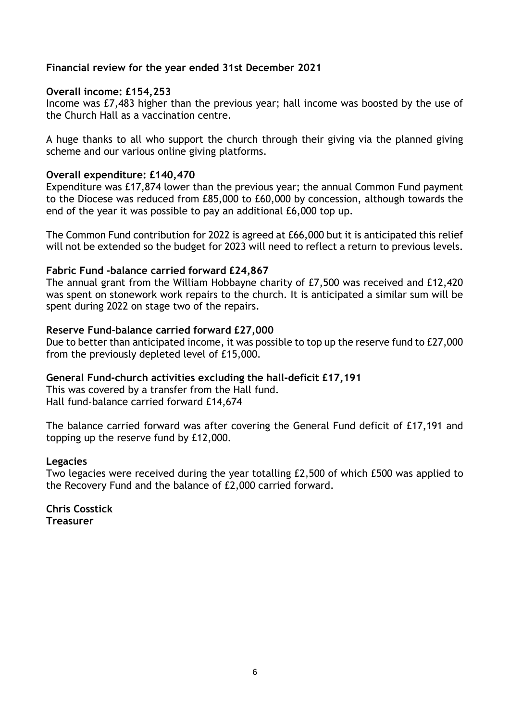# **Financial review for the year ended 31st December 2021**

# **Overall income: £154,253**

Income was £7,483 higher than the previous year; hall income was boosted by the use of the Church Hall as a vaccination centre.

A huge thanks to all who support the church through their giving via the planned giving scheme and our various online giving platforms.

# **Overall expenditure: £140,470**

Expenditure was £17,874 lower than the previous year; the annual Common Fund payment to the Diocese was reduced from £85,000 to £60,000 by concession, although towards the end of the year it was possible to pay an additional £6,000 top up.

The Common Fund contribution for 2022 is agreed at £66,000 but it is anticipated this relief will not be extended so the budget for 2023 will need to reflect a return to previous levels.

# **Fabric Fund -balance carried forward £24,867**

The annual grant from the William Hobbayne charity of £7,500 was received and £12,420 was spent on stonework work repairs to the church. It is anticipated a similar sum will be spent during 2022 on stage two of the repairs.

# **Reserve Fund-balance carried forward £27,000**

Due to better than anticipated income, it was possible to top up the reserve fund to £27,000 from the previously depleted level of £15,000.

### **General Fund-church activities excluding the hall-deficit £17,191**

This was covered by a transfer from the Hall fund. Hall fund-balance carried forward £14,674

The balance carried forward was after covering the General Fund deficit of £17,191 and topping up the reserve fund by £12,000.

### **Legacies**

Two legacies were received during the year totalling £2,500 of which £500 was applied to the Recovery Fund and the balance of £2,000 carried forward.

**Chris Cosstick Treasurer**